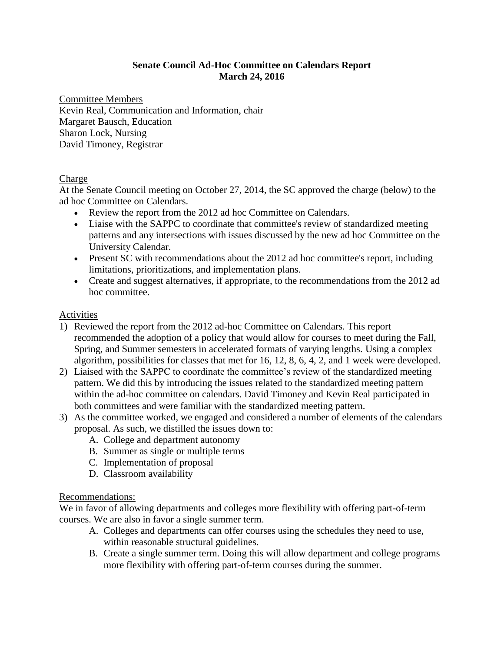# **Senate Council Ad-Hoc Committee on Calendars Report March 24, 2016**

Committee Members Kevin Real, Communication and Information, chair Margaret Bausch, Education Sharon Lock, Nursing David Timoney, Registrar

# **Charge**

At the Senate Council meeting on October 27, 2014, the SC approved the charge (below) to the ad hoc Committee on Calendars.

- Review the report from the 2012 ad hoc Committee on Calendars.
- Liaise with the SAPPC to coordinate that committee's review of standardized meeting patterns and any intersections with issues discussed by the new ad hoc Committee on the University Calendar.
- Present SC with recommendations about the 2012 ad hoc committee's report, including limitations, prioritizations, and implementation plans.
- Create and suggest alternatives, if appropriate, to the recommendations from the 2012 ad hoc committee.

# Activities

- 1) Reviewed the report from the 2012 ad-hoc Committee on Calendars. This report recommended the adoption of a policy that would allow for courses to meet during the Fall, Spring, and Summer semesters in accelerated formats of varying lengths. Using a complex algorithm, possibilities for classes that met for 16, 12, 8, 6, 4, 2, and 1 week were developed.
- 2) Liaised with the SAPPC to coordinate the committee's review of the standardized meeting pattern. We did this by introducing the issues related to the standardized meeting pattern within the ad-hoc committee on calendars. David Timoney and Kevin Real participated in both committees and were familiar with the standardized meeting pattern.
- 3) As the committee worked, we engaged and considered a number of elements of the calendars proposal. As such, we distilled the issues down to:
	- A. College and department autonomy
	- B. Summer as single or multiple terms
	- C. Implementation of proposal
	- D. Classroom availability

# Recommendations:

We in favor of allowing departments and colleges more flexibility with offering part-of-term courses. We are also in favor a single summer term.

- A. Colleges and departments can offer courses using the schedules they need to use, within reasonable structural guidelines.
- B. Create a single summer term. Doing this will allow department and college programs more flexibility with offering part-of-term courses during the summer.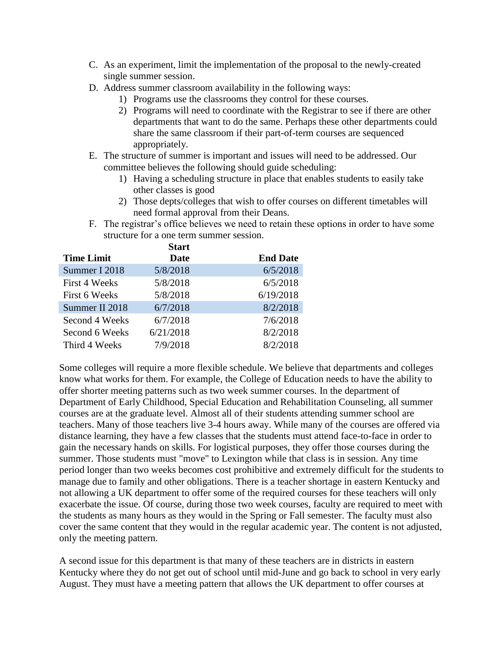- C. As an experiment, limit the implementation of the proposal to the newly-created single summer session.
- D. Address summer classroom availability in the following ways:
	- 1) Programs use the classrooms they control for these courses.
	- 2) Programs will need to coordinate with the Registrar to see if there are other departments that want to do the same. Perhaps these other departments could share the same classroom if their part-of-term courses are sequenced appropriately.
- E. The structure of summer is important and issues will need to be addressed. Our committee believes the following should guide scheduling:
	- 1) Having a scheduling structure in place that enables students to easily take other classes is good
	- 2) Those depts/colleges that wish to offer courses on different timetables will need formal approval from their Deans.
- F. The registrar's office believes we need to retain these options in order to have some structure for a one term summer session.

|                   | <b>Start</b> |                 |
|-------------------|--------------|-----------------|
| <b>Time Limit</b> | Date         | <b>End Date</b> |
| Summer I 2018     | 5/8/2018     | 6/5/2018        |
| First 4 Weeks     | 5/8/2018     | 6/5/2018        |
| First 6 Weeks     | 5/8/2018     | 6/19/2018       |
| Summer II 2018    | 6/7/2018     | 8/2/2018        |
| Second 4 Weeks    | 6/7/2018     | 7/6/2018        |
| Second 6 Weeks    | 6/21/2018    | 8/2/2018        |
| Third 4 Weeks     | 7/9/2018     | 8/2/2018        |

Some colleges will require a more flexible schedule. We believe that departments and colleges know what works for them. For example, the College of Education needs to have the ability to offer shorter meeting patterns such as two week summer courses. In the department of Department of Early Childhood, Special Education and Rehabilitation Counseling, all summer courses are at the graduate level. Almost all of their students attending summer school are teachers. Many of those teachers live 3-4 hours away. While many of the courses are offered via distance learning, they have a few classes that the students must attend face-to-face in order to gain the necessary hands on skills. For logistical purposes, they offer those courses during the summer. Those students must "move" to Lexington while that class is in session. Any time period longer than two weeks becomes cost prohibitive and extremely difficult for the students to manage due to family and other obligations. There is a teacher shortage in eastern Kentucky and not allowing a UK department to offer some of the required courses for these teachers will only exacerbate the issue. Of course, during those two week courses, faculty are required to meet with the students as many hours as they would in the Spring or Fall semester. The faculty must also cover the same content that they would in the regular academic year. The content is not adjusted, only the meeting pattern.

A second issue for this department is that many of these teachers are in districts in eastern Kentucky where they do not get out of school until mid-June and go back to school in very early August. They must have a meeting pattern that allows the UK department to offer courses at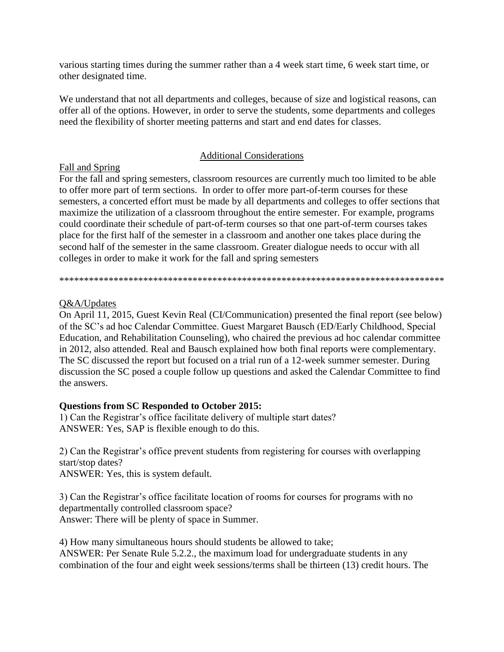various starting times during the summer rather than a 4 week start time, 6 week start time, or other designated time.

We understand that not all departments and colleges, because of size and logistical reasons, can offer all of the options. However, in order to serve the students, some departments and colleges need the flexibility of shorter meeting patterns and start and end dates for classes.

#### Additional Considerations

#### Fall and Spring

For the fall and spring semesters, classroom resources are currently much too limited to be able to offer more part of term sections. In order to offer more part-of-term courses for these semesters, a concerted effort must be made by all departments and colleges to offer sections that maximize the utilization of a classroom throughout the entire semester. For example, programs could coordinate their schedule of part-of-term courses so that one part-of-term courses takes place for the first half of the semester in a classroom and another one takes place during the second half of the semester in the same classroom. Greater dialogue needs to occur with all colleges in order to make it work for the fall and spring semesters

\*\*\*\*\*\*\*\*\*\*\*\*\*\*\*\*\*\*\*\*\*\*\*\*\*\*\*\*\*\*\*\*\*\*\*\*\*\*\*\*\*\*\*\*\*\*\*\*\*\*\*\*\*\*\*\*\*\*\*\*\*\*\*\*\*\*\*\*\*\*\*\*\*\*\*\*\*\*

#### Q&A/Updates

On April 11, 2015, Guest Kevin Real (CI/Communication) presented the final report (see below) of the SC's ad hoc Calendar Committee. Guest Margaret Bausch (ED/Early Childhood, Special Education, and Rehabilitation Counseling), who chaired the previous ad hoc calendar committee in 2012, also attended. Real and Bausch explained how both final reports were complementary. The SC discussed the report but focused on a trial run of a 12-week summer semester. During discussion the SC posed a couple follow up questions and asked the Calendar Committee to find the answers.

# **Questions from SC Responded to October 2015:**

1) Can the Registrar's office facilitate delivery of multiple start dates? ANSWER: Yes, SAP is flexible enough to do this.

2) Can the Registrar's office prevent students from registering for courses with overlapping start/stop dates?

ANSWER: Yes, this is system default.

3) Can the Registrar's office facilitate location of rooms for courses for programs with no departmentally controlled classroom space? Answer: There will be plenty of space in Summer.

4) How many simultaneous hours should students be allowed to take; ANSWER: Per Senate Rule 5.2.2., the maximum load for undergraduate students in any combination of the four and eight week sessions/terms shall be thirteen (13) credit hours. The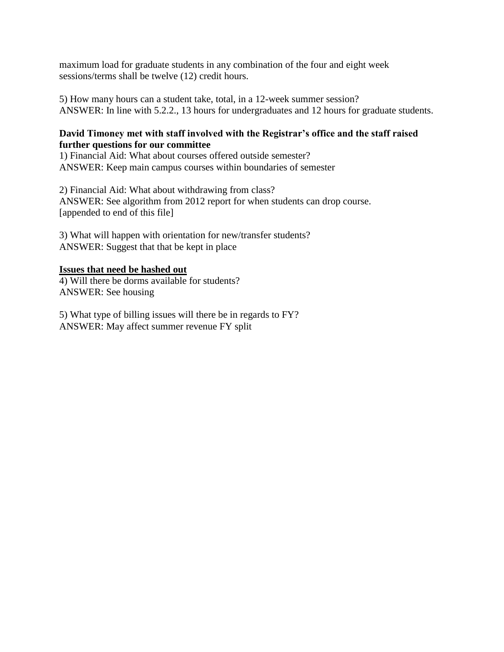maximum load for graduate students in any combination of the four and eight week sessions/terms shall be twelve (12) credit hours.

5) How many hours can a student take, total, in a 12-week summer session? ANSWER: In line with 5.2.2., 13 hours for undergraduates and 12 hours for graduate students.

#### **David Timoney met with staff involved with the Registrar's office and the staff raised further questions for our committee**

1) Financial Aid: What about courses offered outside semester? ANSWER: Keep main campus courses within boundaries of semester

2) Financial Aid: What about withdrawing from class? ANSWER: See algorithm from 2012 report for when students can drop course. [appended to end of this file]

3) What will happen with orientation for new/transfer students? ANSWER: Suggest that that be kept in place

#### **Issues that need be hashed out**

4) Will there be dorms available for students? ANSWER: See housing

5) What type of billing issues will there be in regards to FY? ANSWER: May affect summer revenue FY split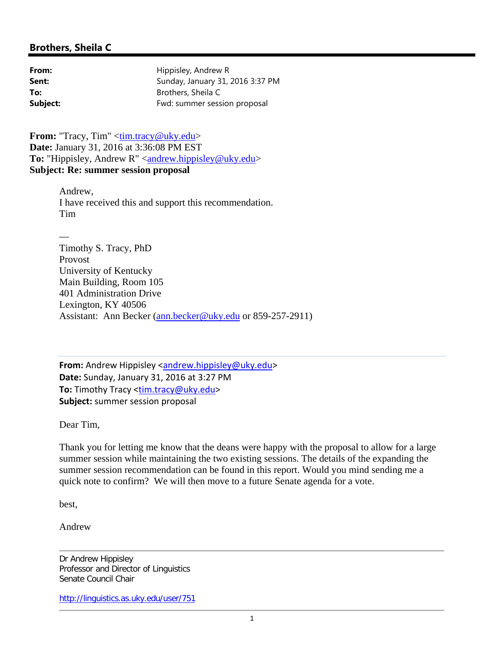# **Brothers, Sheila C**

| From:    | Hippisley, Andrew R              |
|----------|----------------------------------|
| Sent:    | Sunday, January 31, 2016 3:37 PM |
| To:      | Brothers, Sheila C               |
| Subject: | Fwd: summer session proposal     |

**From:** "Tracy, Tim" <tim.tracy@uky.edu> **Date:** January 31, 2016 at 3:36:08 PM EST **To:** "Hippisley, Andrew R" <andrew.hippisley@uky.edu> **Subject: Re: summer session proposal**

> Andrew, I have received this and support this recommendation. Tim

— Timothy S. Tracy, PhD Provost University of Kentucky Main Building, Room 105 401 Administration Drive Lexington, KY 40506 Assistant: Ann Becker (ann.becker@uky.edu or 859-257-2911)

**From:** Andrew Hippisley <**andrew.hippisley@uky.edu> Date:** Sunday, January 31, 2016 at 3:27 PM **To:** Timothy Tracy <tim.tracy@uky.edu> **Subject:** summer session proposal

Dear Tim,

Thank you for letting me know that the deans were happy with the proposal to allow for a large summer session while maintaining the two existing sessions. The details of the expanding the summer session recommendation can be found in this report. Would you mind sending me a quick note to confirm? We will then move to a future Senate agenda for a vote.

best,

Andrew

Dr Andrew Hippisley Professor and Director of Linguistics Senate Council Chair

http://linguistics.as.uky.edu/user/751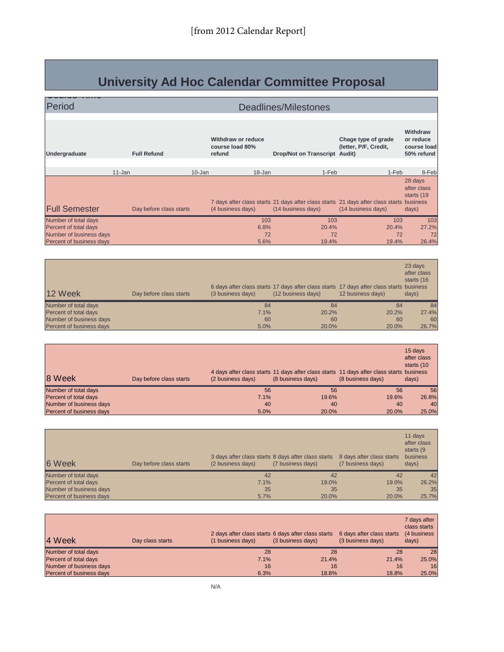# **University Ad Hoc Calendar Committee Proposal**

| Period                   |            |                         |            |                                                 | Deadlines/Milestones          |       |                                                                                                                |                                                           |
|--------------------------|------------|-------------------------|------------|-------------------------------------------------|-------------------------------|-------|----------------------------------------------------------------------------------------------------------------|-----------------------------------------------------------|
|                          |            |                         |            |                                                 |                               |       |                                                                                                                |                                                           |
| Undergraduate            |            | <b>Full Refund</b>      |            | Withdraw or reduce<br>course load 80%<br>refund | Drop/Not on Transcript Audit) |       | Chage type of grade<br>(letter, P/F, Credit,                                                                   | <b>Withdraw</b><br>or reduce<br>course load<br>50% refund |
|                          |            |                         |            |                                                 |                               |       |                                                                                                                |                                                           |
|                          | $11 - Jan$ |                         | $10 - Jan$ | $18 - Jan$                                      |                               | 1-Feb | 1-Feb                                                                                                          | 8-Feb                                                     |
| <b>Full Semester</b>     |            | Day before class starts |            | (4 business days)                               | (14 business days)            |       | 7 days after class starts 21 days after class starts 21 days after class starts business<br>(14 business days) | 28 days<br>after class<br>starts (19<br>days)             |
| Number of total days     |            |                         |            | 103                                             |                               | 103   | 103                                                                                                            | 103                                                       |
| Percent of total days    |            |                         |            | 6.8%                                            |                               | 20.4% | 20.4%                                                                                                          | 27.2%                                                     |
| Number of business days  |            |                         |            | 72                                              |                               | 72    | 72                                                                                                             | 72                                                        |
| Percent of business days |            |                         |            | 5.6%                                            |                               | 19.4% | 19.4%                                                                                                          | 26.4%                                                     |

| 12 Week                  | Day before class starts | (3 business days) | 6 days after class starts 17 days after class starts 17 days after class starts business<br>(12 business days) | 12 business days) | 23 days<br>after class<br>starts (16<br>days) |
|--------------------------|-------------------------|-------------------|----------------------------------------------------------------------------------------------------------------|-------------------|-----------------------------------------------|
| Number of total days     |                         | 84                | 84                                                                                                             | 84                | 84                                            |
| Percent of total days    |                         | 7.1%              | 20.2%                                                                                                          | 20.2%             | 27.4%                                         |
| Number of business days  |                         | 60                | 60                                                                                                             | 60                | 60                                            |
| Percent of business days |                         | 5.0%              | 20.0%                                                                                                          | 20.0%             | 26.7%                                         |

| 8 Week                   | Day before class starts | (2 business days) | 4 days after class starts 11 days after class starts 11 days after class starts business<br>(8 business days) | (8 business days) | 15 days<br>after class<br>starts (10<br>days) |
|--------------------------|-------------------------|-------------------|---------------------------------------------------------------------------------------------------------------|-------------------|-----------------------------------------------|
| Number of total days     |                         | 56                | 56                                                                                                            | 56                | 56                                            |
| Percent of total days    |                         | 7.1%              | 19.6%                                                                                                         | 19.6%             | 26.8%                                         |
| Number of business days  |                         | 40                | 40                                                                                                            | 40                | 40                                            |
| Percent of business days |                         | 5.0%              | 20.0%                                                                                                         | 20.0%             | 25.0%                                         |

| 6 Week                   | Day before class starts | 3 days after class starts 8 days after class starts<br>(2 business days) | (7 business days) | 8 days after class starts<br>(7 business days) | 11 days<br>after class<br>starts (9<br>business<br>days) |
|--------------------------|-------------------------|--------------------------------------------------------------------------|-------------------|------------------------------------------------|----------------------------------------------------------|
| Number of total days     |                         | 42                                                                       | 42                | 42                                             | 42                                                       |
| Percent of total days    |                         | 7.1%                                                                     | 19.0%             | 19.0%                                          | 26.2%                                                    |
| Number of business days  |                         | 35                                                                       | 35                | 35                                             | 35                                                       |
| Percent of business days |                         | 5.7%                                                                     | 20.0%             | 20.0%                                          | 25.7%                                                    |

| 14 Week                  | Day class starts | 2 days after class starts 6 days after class starts<br>(1 business days) | (3 business days) | 6 days after class starts<br>(3 business days) | 7 days after<br>class starts<br>(4 business<br>days) |
|--------------------------|------------------|--------------------------------------------------------------------------|-------------------|------------------------------------------------|------------------------------------------------------|
| Number of total days     |                  | 28                                                                       | 28                | 28                                             | 28                                                   |
| Percent of total days    |                  | 7.1%                                                                     | 21.4%             | 21.4%                                          | 25.0%                                                |
| Number of business days  |                  | 16                                                                       | 16                | 16                                             | 16                                                   |
| Percent of business days |                  | 6.3%                                                                     | 18.8%             | 18.8%                                          | 25.0%                                                |